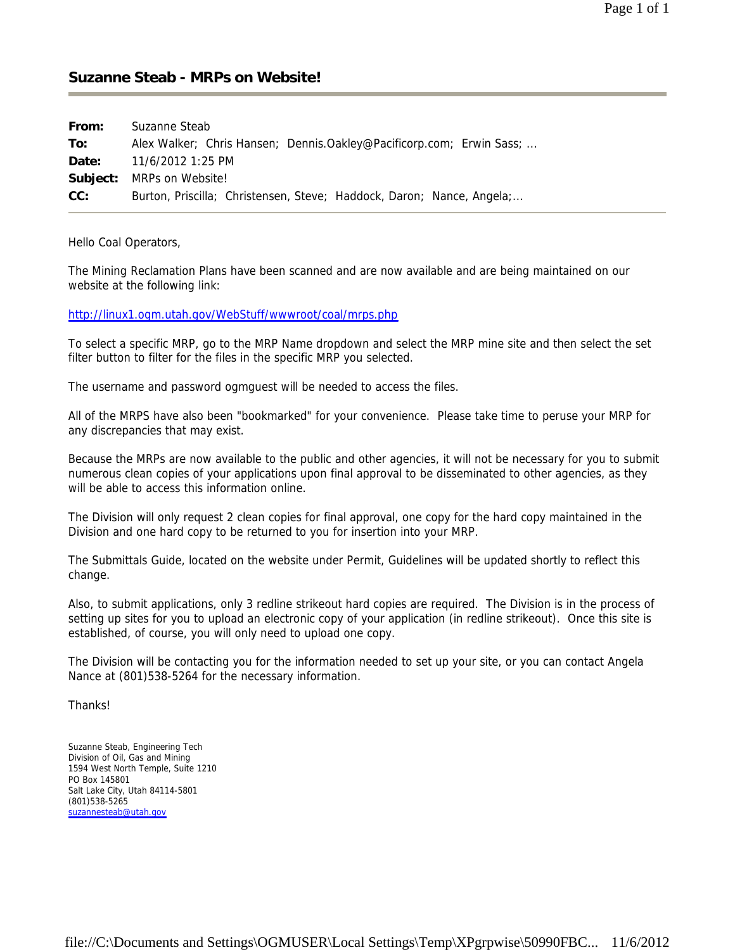## **Suzanne Steab - MRPs on Website!**

| From: | Suzanne Steab                                                         |  |  |  |
|-------|-----------------------------------------------------------------------|--|--|--|
| To:   | Alex Walker; Chris Hansen; Dennis.Oakley@Pacificorp.com; Erwin Sass;  |  |  |  |
| Date: | 11/6/2012 1:25 PM                                                     |  |  |  |
|       | <b>Subject:</b> MRPs on Website!                                      |  |  |  |
| CC:   | Burton, Priscilla; Christensen, Steve; Haddock, Daron; Nance, Angela; |  |  |  |

Hello Coal Operators,

The Mining Reclamation Plans have been scanned and are now available and are being maintained on our website at the following link:

http://linux1.ogm.utah.gov/WebStuff/wwwroot/coal/mrps.php

To select a specific MRP, go to the MRP Name dropdown and select the MRP mine site and then select the set filter button to filter for the files in the specific MRP you selected.

The username and password ogmguest will be needed to access the files.

All of the MRPS have also been "bookmarked" for your convenience. Please take time to peruse your MRP for any discrepancies that may exist.

Because the MRPs are now available to the public and other agencies, it will not be necessary for you to submit numerous clean copies of your applications upon final approval to be disseminated to other agencies, as they will be able to access this information online.

The Division will only request 2 clean copies for final approval, one copy for the hard copy maintained in the Division and one hard copy to be returned to you for insertion into your MRP.

The Submittals Guide, located on the website under Permit, Guidelines will be updated shortly to reflect this change.

Also, to submit applications, only 3 redline strikeout hard copies are required. The Division is in the process of setting up sites for you to upload an electronic copy of your application (in redline strikeout). Once this site is established, of course, you will only need to upload one copy.

The Division will be contacting you for the information needed to set up your site, or you can contact Angela Nance at (801)538-5264 for the necessary information.

Thanks!

Suzanne Steab, Engineering Tech Division of Oil, Gas and Mining 1594 West North Temple, Suite 1210 PO Box 145801 Salt Lake City, Utah 84114-5801 (801)538-5265 suzannesteab@utah.gov